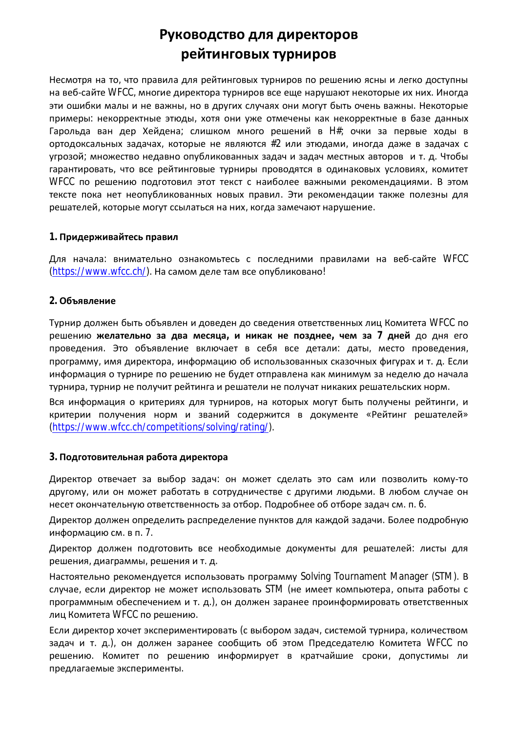# Руководство для директоров рейтинговых турниров

Несмотря на то, что правила для рейтинговых турниров по решению ясны и легко доступны на веб-сайте WFCC, многие директора турниров все еще нарушают некоторые их них. Иногда эти ошибки малы и не важны, но в других случаях они могут быть очень важны. Некоторые примеры: некорректные этюды, хотя они уже отмечены как некорректные в базе данных Гарольда ван дер Хейдена; слишком много решений в Н#; очки за первые ходы в ортодоксальных задачах, которые не являются #2 или этюдами, иногда даже в задачах с угрозой; множество недавно опубликованных задач и задач местных авторов и т. д. Чтобы гарантировать, что все рейтинговые турниры проводятся в одинаковых условиях, комитет WFCC по решению подготовил этот текст с наиболее важными рекомендациями. В этом тексте пока нет неопубликованных новых правил. Эти рекомендации также полезны для решателей, которые могут ссылаться на них, когда замечают нарушение.

## 1. Придерживайтесь правил

Для начала: внимательно ознакомьтесь с последними правилами на веб-сайте WFCC (https://www.wfcc.ch/). На самом деле там все опубликовано!

#### 2. Объявление

Турнир должен быть объявлен и доведен до сведения ответственных лиц Комитета WFCC по решению желательно за два месяца, и никак не позднее, чем за 7 дней до дня его проведения. Это объявление включает в себя все детали: даты, место проведения, программу, имя директора, информацию об использованных сказочных фигурах и т. д. Если информация о турнире по решению не будет отправлена как минимум за неделю до начала турнира, турнир не получит рейтинга и решатели не получат никаких решательских норм.

Вся информация о критериях для турниров, на которых могут быть получены рейтинги, и критерии получения норм и званий содержится в документе «Рейтинг решателей» (https://www.wfcc.ch/competitions/solving/rating/).

#### 3. Подготовительная работа директора

Директор отвечает за выбор задач: он может сделать это сам или позволить кому-то другому, или он может работать в сотрудничестве с другими людьми. В любом случае он несет окончательную ответственность за отбор. Подробнее об отборе задач см. п. 6.

Директор должен определить распределение пунктов для каждой задачи. Более подробную информацию см. в п. 7.

Директор должен подготовить все необходимые документы для решателей: листы для решения, диаграммы, решения и т. д.

Настоятельно рекомендуется использовать программу Solving Tournament Manager (STM). В случае, если директор не может использовать STM (не имеет компьютера, опыта работы с программным обеспечением и т. д.), он должен заранее проинформировать ответственных лиц Комитета WFCC по решению.

Если директор хочет экспериментировать (с выбором задач, системой турнира, количеством задач и т. д.), он должен заранее сообщить об этом Председателю Комитета WFCC по решению. Комитет по решению информирует в кратчайшие сроки, допустимы ли предлагаемые эксперименты.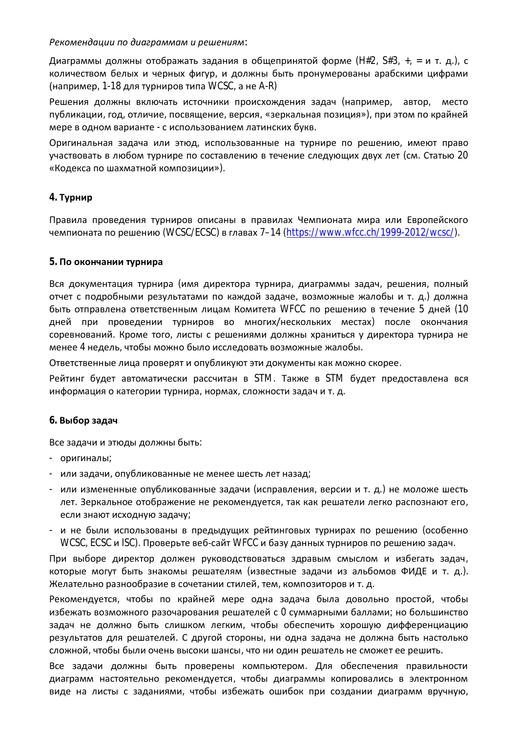Рекомендации по диаграммам и решениям:

Диаграммы должны отображать задания в общепринятой форме (H#2, S#3, +, = и т. д.), с количеством белых и черных фигур, и должны быть пронумерованы арабскими цифрами (например, 1-18 для турниров типа WCSC, а не A-R)

Решения должны включать источники происхождения задач (например, автор, место публикации, год, отличие, посвящение, версия, «зеркальная позиция»), при этом по крайней мере в одном варианте - с использованием латинских букв.

Оригинальная задача или этюд, использованные на турнире по решению, имеют право участвовать в любом турнире по составлению в течение следующих двух лет (см. Статью 20 «Кодекса по шахматной композиции»).

## 4. Турнир

Правила проведения турниров описаны в правилах Чемпионата мира или Европейского чемпионата по решению (WCSC/ECSC) в главах 7-14 (https://www.wfcc.ch/1999-2012/wcsc/).

## 5. По окончании турнира

Вся документация турнира (имя директора турнира, диаграммы задач, решения, полный отчет с подробными результатами по каждой задаче, возможные жалобы и т. д.) должна быть отправлена ответственным лицам Комитета WFCC по решению в течение 5 дней (10 дней при проведении турниров во многих/нескольких местах) после окончания соревнований. Кроме того, листы с решениями должны храниться у директора турнира не менее 4 недель, чтобы можно было исследовать возможные жалобы.

Ответственные лица проверят и опубликуют эти документы как можно скорее.

Рейтинг будет автоматически рассчитан в STM. Также в STM будет предоставлена вся информация о категории турнира, нормах, сложности задач и т. д.

## 6. Выбор задач

Все задачи и этюды должны быть:

- оригиналы;
- или задачи, опубликованные не менее шесть лет назад;
- или измененные опубликованные задачи (исправления, версии и т. д.) не моложе шесть лет. Зеркальное отображение не рекомендуется, так как решатели легко распознают его, если знают исходную задачу;
- и не были использованы в предыдущих рейтинговых турнирах по решению (особенно WCSC, ECSC и ISC). Проверьте веб-сайт WFCC и базу данных турниров по решению задач.

При выборе директор должен руководствоваться здравым смыслом и избегать задач, которые могут быть знакомы решателям (известные задачи из альбомов ФИДЕ и т. д.). Желательно разнообразие в сочетании стилей, тем, композиторов и т. д.

Рекомендуется, чтобы по крайней мере одна задача была довольно простой, чтобы избежать возможного разочарования решателей с 0 суммарными баллами; но большинство задач не должно быть слишком легким, чтобы обеспечить хорошую дифференциацию результатов для решателей. С другой стороны, ни одна задача не должна быть настолько сложной, чтобы были очень высоки шансы, что ни один решатель не сможет ее решить.

Все задачи должны быть проверены компьютером. Для обеспечения правильности диаграмм настоятельно рекомендуется, чтобы диаграммы копировались в электронном виде на листы с заданиями, чтобы избежать ошибок при создании диаграмм вручную,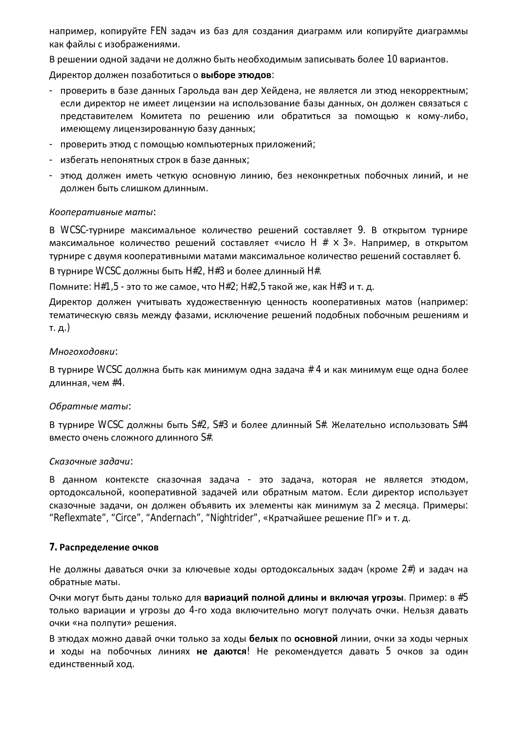например, копируйте FEN задач из баз для создания диаграмм или копируйте диаграммы как файлы с изображениями.

В решении одной задачи не должно быть необходимым записывать более 10 вариантов.

Директор должен позаботиться о выборе этюдов:

- проверить в базе данных Гарольда ван дер Хейдена, не является ли этюд некорректным; если директор не имеет лицензии на использование базы данных, он должен связаться с представителем Комитета по решению или обратиться за помощью к кому-либо, имеющему лицензированную базу данных;
- проверить этюд с помощью компьютерных приложений;
- избегать непонятных строк в базе данных;
- этюд должен иметь четкую основную линию, без неконкретных побочных линий, и не должен быть слишком длинным.

## Кооперативные маты:

В WCSC-турнире максимальное количество решений составляет 9. В открытом турнире максимальное количество решений составляет «число H  $# \times 3$ ». Например, в открытом турнире с двумя кооперативными матами максимальное количество решений составляет 6.

В турнире WCSC должны быть H#2, H#3 и более длинный H#.

Помните: H#1,5 - это то же самое, что H#2; H#2,5 такой же, как H#3 и т. д.

Директор должен учитывать художественную ценность кооперативных матов (например: тематическую связь между фазами, исключение решений подобных побочным решениям и т. д.)

# Многоходовки:

В турнире WCSC должна быть как минимум одна задача # 4 и как минимум еще одна более длинная, чем #4.

## Обратные маты:

В турнире WCSC должны быть S#2, S#3 и более длинный S#. Желательно использовать S#4 вместо очень сложного длинного S#.

## Сказочные задачи:

В данном контексте сказочная задача - это задача, которая не является этюдом, ортодоксальной, кооперативной задачей или обратным матом. Если директор использует сказочные задачи, он должен объявить их элементы как минимум за 2 месяца. Примеры: "Reflexmate", "Circe", "Andernach", "Nightrider", «Кратчайшее решение ПГ» и т. д.

# 7. Распределение очков

Не должны даваться очки за ключевые ходы ортодоксальных задач (кроме 2#) и задач на обратные маты.

Очки могут быть даны только для вариаций полной длины и включая угрозы. Пример: в #5 только вариации и угрозы до 4-го хода включительно могут получать очки. Нельзя давать очки «на полпути» решения.

В этюдах можно давай очки только за ходы белых по основной линии, очки за ходы черных и ходы на побочных линиях **не даются!** Не рекомендуется давать 5 очков за один единственный ход.